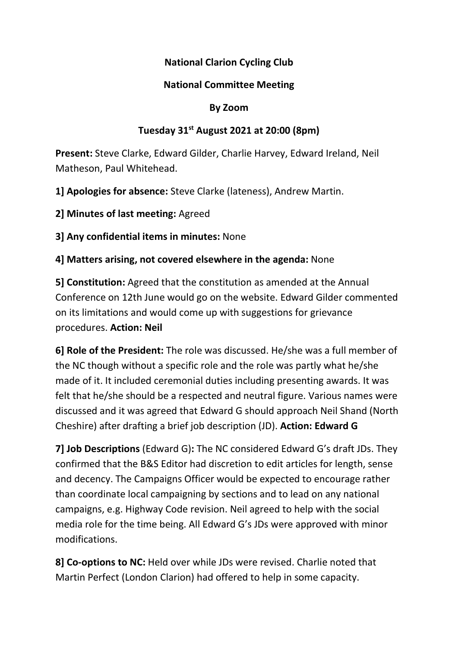# National Clarion Cycling Club

## National Committee Meeting

#### By Zoom

## Tuesday  $31^{st}$  August 2021 at 20:00 (8pm)

Present: Steve Clarke, Edward Gilder, Charlie Harvey, Edward Ireland, Neil Matheson, Paul Whitehead.

1] Apologies for absence: Steve Clarke (lateness), Andrew Martin.

2] Minutes of last meeting: Agreed

3] Any confidential items in minutes: None

4] Matters arising, not covered elsewhere in the agenda: None

5] Constitution: Agreed that the constitution as amended at the Annual Conference on 12th June would go on the website. Edward Gilder commented on its limitations and would come up with suggestions for grievance procedures. Action: Neil

6] Role of the President: The role was discussed. He/she was a full member of the NC though without a specific role and the role was partly what he/she made of it. It included ceremonial duties including presenting awards. It was felt that he/she should be a respected and neutral figure. Various names were discussed and it was agreed that Edward G should approach Neil Shand (North Cheshire) after drafting a brief job description (JD). Action: Edward G

7] Job Descriptions (Edward G): The NC considered Edward G's draft JDs. They confirmed that the B&S Editor had discretion to edit articles for length, sense and decency. The Campaigns Officer would be expected to encourage rather than coordinate local campaigning by sections and to lead on any national campaigns, e.g. Highway Code revision. Neil agreed to help with the social media role for the time being. All Edward G's JDs were approved with minor modifications.

8] Co-options to NC: Held over while JDs were revised. Charlie noted that Martin Perfect (London Clarion) had offered to help in some capacity.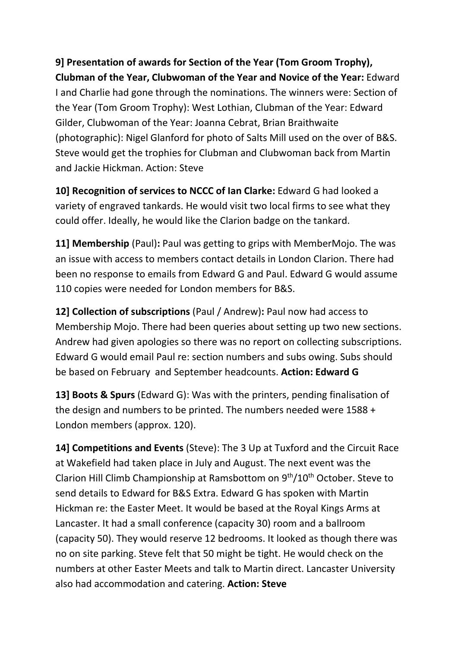9] Presentation of awards for Section of the Year (Tom Groom Trophy), Clubman of the Year, Clubwoman of the Year and Novice of the Year: Edward I and Charlie had gone through the nominations. The winners were: Section of the Year (Tom Groom Trophy): West Lothian, Clubman of the Year: Edward Gilder, Clubwoman of the Year: Joanna Cebrat, Brian Braithwaite (photographic): Nigel Glanford for photo of Salts Mill used on the over of B&S. Steve would get the trophies for Clubman and Clubwoman back from Martin and Jackie Hickman. Action: Steve

10] Recognition of services to NCCC of Ian Clarke: Edward G had looked a variety of engraved tankards. He would visit two local firms to see what they could offer. Ideally, he would like the Clarion badge on the tankard.

11] Membership (Paul): Paul was getting to grips with MemberMojo. The was an issue with access to members contact details in London Clarion. There had been no response to emails from Edward G and Paul. Edward G would assume 110 copies were needed for London members for B&S.

12] Collection of subscriptions (Paul / Andrew): Paul now had access to Membership Mojo. There had been queries about setting up two new sections. Andrew had given apologies so there was no report on collecting subscriptions. Edward G would email Paul re: section numbers and subs owing. Subs should be based on February and September headcounts. Action: Edward G

13] Boots & Spurs (Edward G): Was with the printers, pending finalisation of the design and numbers to be printed. The numbers needed were 1588 + London members (approx. 120).

14] Competitions and Events (Steve): The 3 Up at Tuxford and the Circuit Race at Wakefield had taken place in July and August. The next event was the Clarion Hill Climb Championship at Ramsbottom on 9<sup>th</sup>/10<sup>th</sup> October. Steve to send details to Edward for B&S Extra. Edward G has spoken with Martin Hickman re: the Easter Meet. It would be based at the Royal Kings Arms at Lancaster. It had a small conference (capacity 30) room and a ballroom (capacity 50). They would reserve 12 bedrooms. It looked as though there was no on site parking. Steve felt that 50 might be tight. He would check on the numbers at other Easter Meets and talk to Martin direct. Lancaster University also had accommodation and catering. Action: Steve